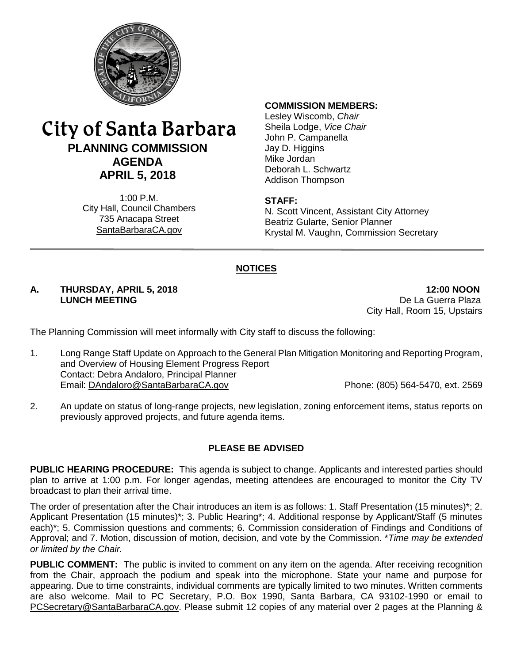

# City of Santa Barbara **PLANNING COMMISSION AGENDA APRIL 5, 2018**

1:00 P.M. City Hall, Council Chambers 735 Anacapa Street SantaBarbaraCA.gov

#### **COMMISSION MEMBERS:**

Lesley Wiscomb, *Chair* Sheila Lodge, *Vice Chair* John P. Campanella Jay D. Higgins Mike Jordan Deborah L. Schwartz Addison Thompson

### **STAFF:**

N. Scott Vincent, Assistant City Attorney Beatriz Gularte, Senior Planner Krystal M. Vaughn, Commission Secretary

# **NOTICES**

# **A. THURSDAY, APRIL 5, 2018 12:00 NOON**

De La Guerra Plaza City Hall, Room 15, Upstairs

The Planning Commission will meet informally with City staff to discuss the following:

- 1. Long Range Staff Update on Approach to the General Plan Mitigation Monitoring and Reporting Program, and Overview of Housing Element Progress Report Contact: Debra Andaloro, Principal Planner Email: [DAndaloro@SantaBarbaraCA.gov](mailto:DAndaloro@SantaBarbaraCA.gov) Phone: (805) 564-5470, ext. 2569
- 2. An update on status of long-range projects, new legislation, zoning enforcement items, status reports on previously approved projects, and future agenda items.

# **PLEASE BE ADVISED**

**PUBLIC HEARING PROCEDURE:** This agenda is subject to change. Applicants and interested parties should plan to arrive at 1:00 p.m. For longer agendas, meeting attendees are encouraged to monitor the City TV broadcast to plan their arrival time.

The order of presentation after the Chair introduces an item is as follows: 1. Staff Presentation (15 minutes)\*; 2. Applicant Presentation (15 minutes)\*; 3. Public Hearing\*; 4. Additional response by Applicant/Staff (5 minutes each)\*; 5. Commission questions and comments; 6. Commission consideration of Findings and Conditions of Approval; and 7. Motion, discussion of motion, decision, and vote by the Commission. \**Time may be extended or limited by the Chair.*

**PUBLIC COMMENT:** The public is invited to comment on any item on the agenda. After receiving recognition from the Chair, approach the podium and speak into the microphone. State your name and purpose for appearing. Due to time constraints, individual comments are typically limited to two minutes. Written comments are also welcome. Mail to PC Secretary, P.O. Box 1990, Santa Barbara, CA 93102-1990 or email to [PCSecretary@SantaBarbaraCA.gov.](mailto:PCSecretary@SantaBarbaraCA.gov) Please submit 12 copies of any material over 2 pages at the Planning &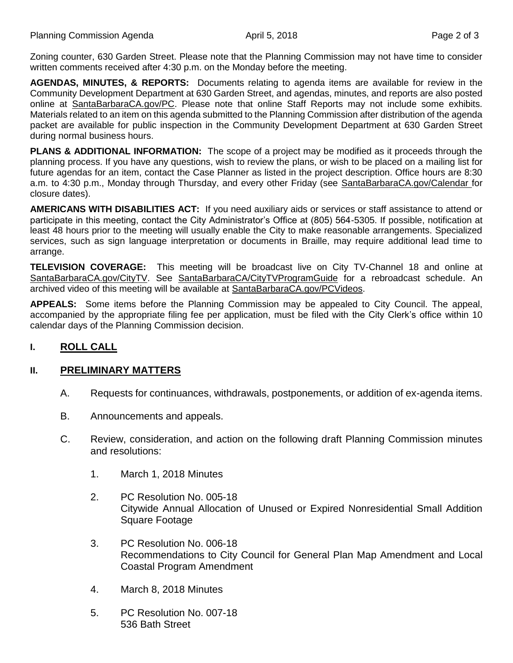Zoning counter, 630 Garden Street. Please note that the Planning Commission may not have time to consider written comments received after 4:30 p.m. on the Monday before the meeting.

**AGENDAS, MINUTES, & REPORTS:** Documents relating to agenda items are available for review in the Community Development Department at 630 Garden Street, and agendas, minutes, and reports are also posted online at [SantaBarbaraCA.gov/PC.](http://www.santabarbaraca.gov/PC) Please note that online Staff Reports may not include some exhibits. Materials related to an item on this agenda submitted to the Planning Commission after distribution of the agenda packet are available for public inspection in the Community Development Department at 630 Garden Street during normal business hours.

**PLANS & ADDITIONAL INFORMATION:** The scope of a project may be modified as it proceeds through the planning process. If you have any questions, wish to review the plans, or wish to be placed on a mailing list for future agendas for an item, contact the Case Planner as listed in the project description. Office hours are 8:30 a.m. to 4:30 p.m., Monday through Thursday, and every other Friday (see [SantaBarbaraCA.gov/Calendar](http://www.santabarbaraca.gov/cals/default.asp) for closure dates).

**AMERICANS WITH DISABILITIES ACT:** If you need auxiliary aids or services or staff assistance to attend or participate in this meeting, contact the City Administrator's Office at (805) 564-5305. If possible, notification at least 48 hours prior to the meeting will usually enable the City to make reasonable arrangements. Specialized services, such as sign language interpretation or documents in Braille, may require additional lead time to arrange.

**TELEVISION COVERAGE:** This meeting will be broadcast live on City TV-Channel 18 and online at [SantaBarbaraCA.gov/CityTV.](http://www.santabarbaraca.gov/CityTV) See [SantaBarbaraCA/CityTVProgramGuide](http://www.santabarbaraca.gov/gov/depts/cityadmin/programming.asp) for a rebroadcast schedule. An archived video of this meeting will be available at [SantaBarbaraCA.gov/PCVideos.](http://www.santabarbaraca.gov/PCVideos)

**APPEALS:** Some items before the Planning Commission may be appealed to City Council. The appeal, accompanied by the appropriate filing fee per application, must be filed with the City Clerk's office within 10 calendar days of the Planning Commission decision.

# **I. ROLL CALL**

# **II. PRELIMINARY MATTERS**

- A. Requests for continuances, withdrawals, postponements, or addition of ex-agenda items.
- B. Announcements and appeals.
- C. Review, consideration, and action on the following draft Planning Commission minutes and resolutions:
	- 1. March 1, 2018 Minutes
	- 2. PC Resolution No. 005-18 Citywide Annual Allocation of Unused or Expired Nonresidential Small Addition Square Footage
	- 3. PC Resolution No. 006-18 Recommendations to City Council for General Plan Map Amendment and Local Coastal Program Amendment
	- 4. March 8, 2018 Minutes
	- 5. PC Resolution No. 007-18 536 Bath Street